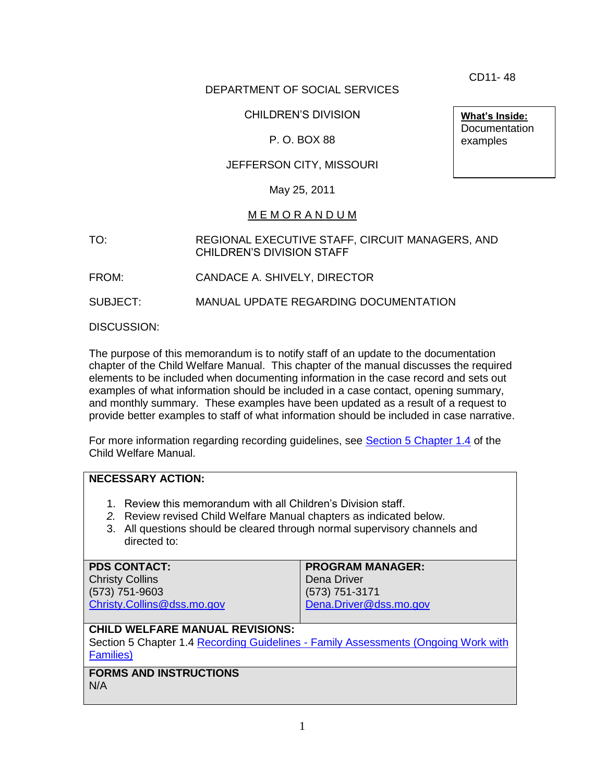CD11- 48

**What's Inside: Documentation** examples

# DEPARTMENT OF SOCIAL SERVICES

# CHILDREN'S DIVISION

# P. O. BOX 88

# JEFFERSON CITY, MISSOURI

### May 25, 2011

### M E M O R A N D U M

TO: REGIONAL EXECUTIVE STAFF, CIRCUIT MANAGERS, AND CHILDREN'S DIVISION STAFF

FROM: CANDACE A. SHIVELY, DIRECTOR

SUBJECT: MANUAL UPDATE REGARDING DOCUMENTATION

DISCUSSION:

The purpose of this memorandum is to notify staff of an update to the documentation chapter of the Child Welfare Manual. This chapter of the manual discusses the required elements to be included when documenting information in the case record and sets out examples of what information should be included in a case contact, opening summary, and monthly summary. These examples have been updated as a result of a request to provide better examples to staff of what information should be included in case narrative.

For more information regarding recording guidelines, see [Section 5 Chapter 1.4](http://www.dss.mo.gov/cd/info/cwmanual/section5/ch1/sec5ch1sub4.htm) of the Child Welfare Manual.

## **NECESSARY ACTION:**

- 1. Review this memorandum with all Children's Division staff.
- *2.* Review revised Child Welfare Manual chapters as indicated below.
- 3. All questions should be cleared through normal supervisory channels and directed to:

| <b>PROGRAM MANAGER:</b> |
|-------------------------|
| Dena Driver             |
| (573) 751-3171          |
| Dena.Driver@dss.mo.gov  |
|                         |

### **CHILD WELFARE MANUAL REVISIONS:**

Section 5 Chapter 1.4 Recording Guidelines - [Family Assessments \(Ongoing Work with](http://www.dss.mo.gov/cd/info/cwmanual/section5/ch1/sec5ch1sub4.htm)  [Families\)](http://www.dss.mo.gov/cd/info/cwmanual/section5/ch1/sec5ch1sub4.htm)

**FORMS AND INSTRUCTIONS** N/A